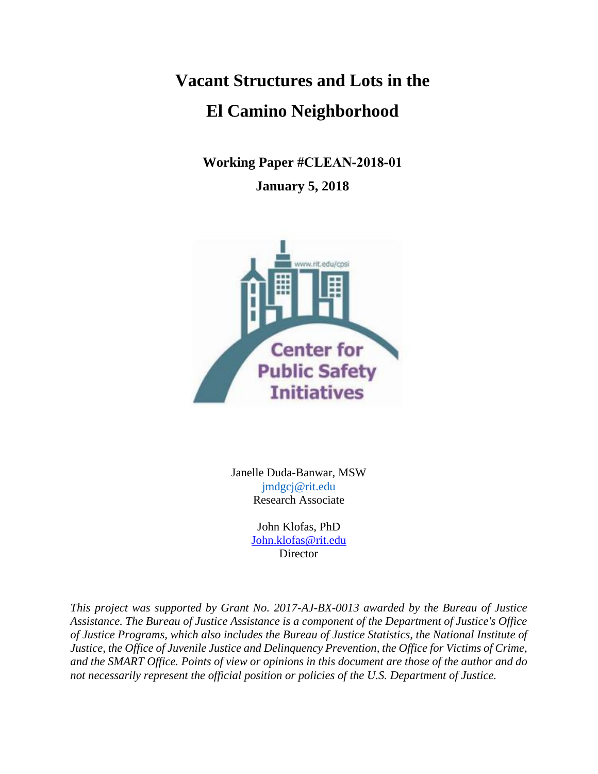**Vacant Structures and Lots in the El Camino Neighborhood** 

> **Working Paper #CLEAN-2018-01 January 5, 2018**



Janelle Duda-Banwar, MSW [jmdgcj@rit.edu](mailto:jmdgcj@rit.edu) Research Associate

> John Klofas, PhD [John.klofas@rit.edu](mailto:John.klofas@rit.edu) **Director**

*This project was supported by Grant No. 2017-AJ-BX-0013 awarded by the Bureau of Justice Assistance. The Bureau of Justice Assistance is a component of the Department of Justice's Office of Justice Programs, which also includes the Bureau of Justice Statistics, the National Institute of Justice, the Office of Juvenile Justice and Delinquency Prevention, the Office for Victims of Crime, and the SMART Office. Points of view or opinions in this document are those of the author and do not necessarily represent the official position or policies of the U.S. Department of Justice.*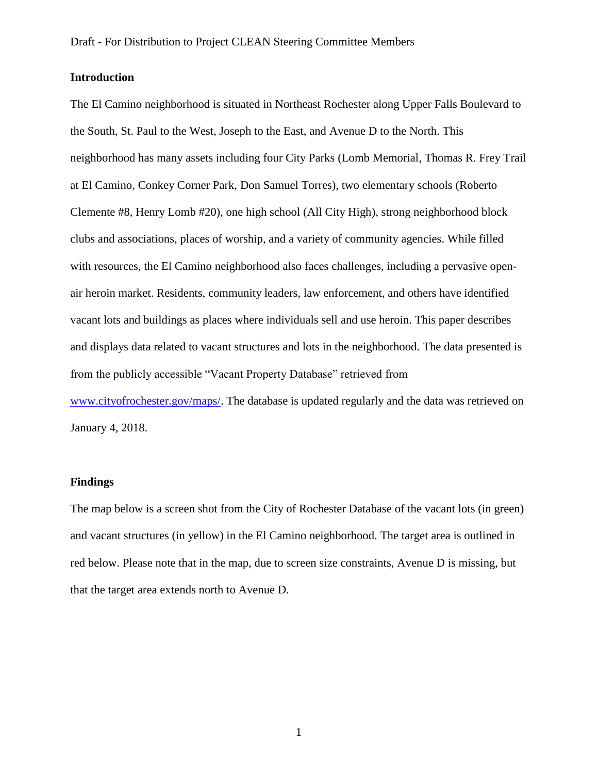## **Introduction**

The El Camino neighborhood is situated in Northeast Rochester along Upper Falls Boulevard to the South, St. Paul to the West, Joseph to the East, and Avenue D to the North. This neighborhood has many assets including four City Parks (Lomb Memorial, Thomas R. Frey Trail at El Camino, Conkey Corner Park, Don Samuel Torres), two elementary schools (Roberto Clemente #8, Henry Lomb #20), one high school (All City High), strong neighborhood block clubs and associations, places of worship, and a variety of community agencies. While filled with resources, the El Camino neighborhood also faces challenges, including a pervasive openair heroin market. Residents, community leaders, law enforcement, and others have identified vacant lots and buildings as places where individuals sell and use heroin. This paper describes and displays data related to vacant structures and lots in the neighborhood. The data presented is from the publicly accessible "Vacant Property Database" retrieved from [www.cityofrochester.gov/maps/.](http://www.cityofrochester.gov/maps/) The database is updated regularly and the data was retrieved on January 4, 2018.

## **Findings**

The map below is a screen shot from the City of Rochester Database of the vacant lots (in green) and vacant structures (in yellow) in the El Camino neighborhood. The target area is outlined in red below. Please note that in the map, due to screen size constraints, Avenue D is missing, but that the target area extends north to Avenue D.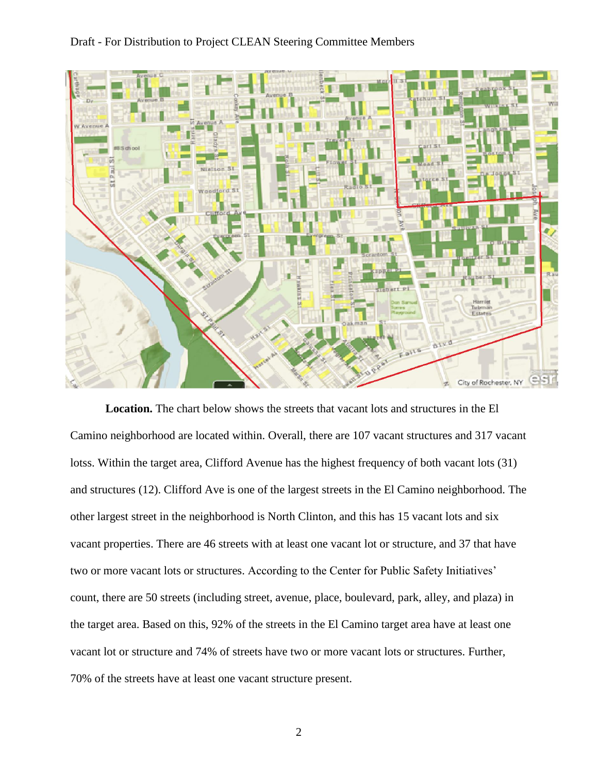## Draft - For Distribution to Project CLEAN Steering Committee Members



**Location.** The chart below shows the streets that vacant lots and structures in the El Camino neighborhood are located within. Overall, there are 107 vacant structures and 317 vacant lotss. Within the target area, Clifford Avenue has the highest frequency of both vacant lots (31) and structures (12). Clifford Ave is one of the largest streets in the El Camino neighborhood. The other largest street in the neighborhood is North Clinton, and this has 15 vacant lots and six vacant properties. There are 46 streets with at least one vacant lot or structure, and 37 that have two or more vacant lots or structures. According to the Center for Public Safety Initiatives' count, there are 50 streets (including street, avenue, place, boulevard, park, alley, and plaza) in the target area. Based on this, 92% of the streets in the El Camino target area have at least one vacant lot or structure and 74% of streets have two or more vacant lots or structures. Further, 70% of the streets have at least one vacant structure present.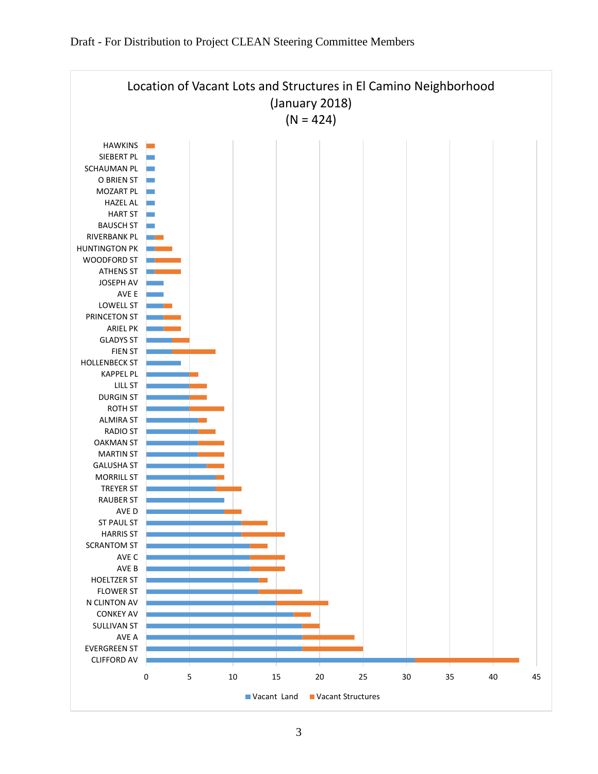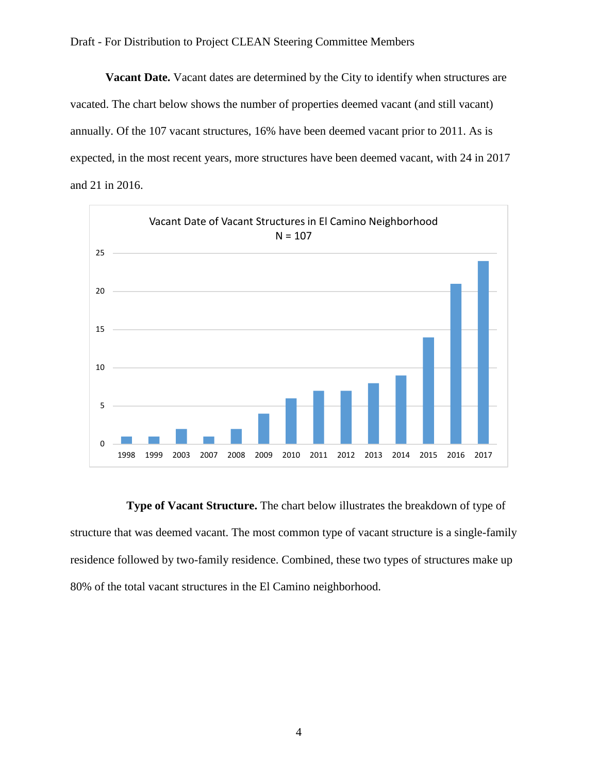**Vacant Date.** Vacant dates are determined by the City to identify when structures are vacated. The chart below shows the number of properties deemed vacant (and still vacant) annually. Of the 107 vacant structures, 16% have been deemed vacant prior to 2011. As is expected, in the most recent years, more structures have been deemed vacant, with 24 in 2017 and 21 in 2016.



**Type of Vacant Structure.** The chart below illustrates the breakdown of type of structure that was deemed vacant. The most common type of vacant structure is a single-family residence followed by two-family residence. Combined, these two types of structures make up 80% of the total vacant structures in the El Camino neighborhood.